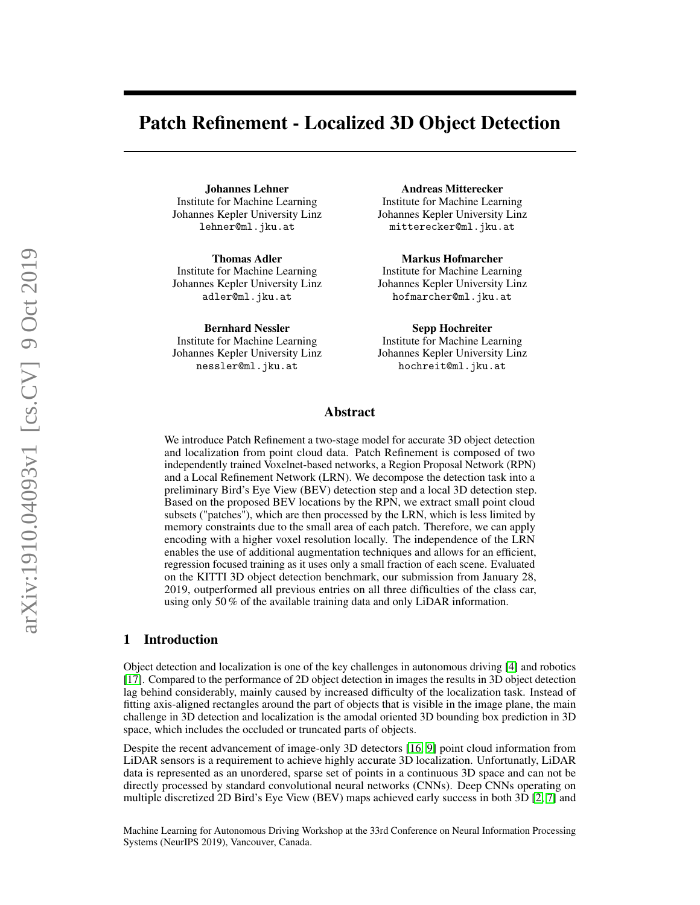# Patch Refinement - Localized 3D Object Detection

Johannes Lehner Institute for Machine Learning Johannes Kepler University Linz lehner@ml.jku.at

Thomas Adler Institute for Machine Learning Johannes Kepler University Linz adler@ml.jku.at

Bernhard Nessler Institute for Machine Learning Johannes Kepler University Linz nessler@ml.jku.at

Andreas Mitterecker Institute for Machine Learning Johannes Kepler University Linz mitterecker@ml.jku.at

Markus Hofmarcher Institute for Machine Learning Johannes Kepler University Linz hofmarcher@ml.jku.at

Sepp Hochreiter Institute for Machine Learning Johannes Kepler University Linz hochreit@ml.jku.at

## Abstract

We introduce Patch Refinement a two-stage model for accurate 3D object detection and localization from point cloud data. Patch Refinement is composed of two independently trained Voxelnet-based networks, a Region Proposal Network (RPN) and a Local Refinement Network (LRN). We decompose the detection task into a preliminary Bird's Eye View (BEV) detection step and a local 3D detection step. Based on the proposed BEV locations by the RPN, we extract small point cloud subsets ("patches"), which are then processed by the LRN, which is less limited by memory constraints due to the small area of each patch. Therefore, we can apply encoding with a higher voxel resolution locally. The independence of the LRN enables the use of additional augmentation techniques and allows for an efficient, regression focused training as it uses only a small fraction of each scene. Evaluated on the KITTI 3D object detection benchmark, our submission from January 28, 2019, outperformed all previous entries on all three difficulties of the class car, using only 50 % of the available training data and only LiDAR information.

# 1 Introduction

Object detection and localization is one of the key challenges in autonomous driving [\[4\]](#page-8-0) and robotics [\[17\]](#page-9-0). Compared to the performance of 2D object detection in images the results in 3D object detection lag behind considerably, mainly caused by increased difficulty of the localization task. Instead of fitting axis-aligned rectangles around the part of objects that is visible in the image plane, the main challenge in 3D detection and localization is the amodal oriented 3D bounding box prediction in 3D space, which includes the occluded or truncated parts of objects.

Despite the recent advancement of image-only 3D detectors [\[16,](#page-9-1) [9\]](#page-8-1) point cloud information from LiDAR sensors is a requirement to achieve highly accurate 3D localization. Unfortunatly, LiDAR data is represented as an unordered, sparse set of points in a continuous 3D space and can not be directly processed by standard convolutional neural networks (CNNs). Deep CNNs operating on multiple discretized 2D Bird's Eye View (BEV) maps achieved early success in both 3D [\[2,](#page-8-2) [7\]](#page-8-3) and

Machine Learning for Autonomous Driving Workshop at the 33rd Conference on Neural Information Processing Systems (NeurIPS 2019), Vancouver, Canada.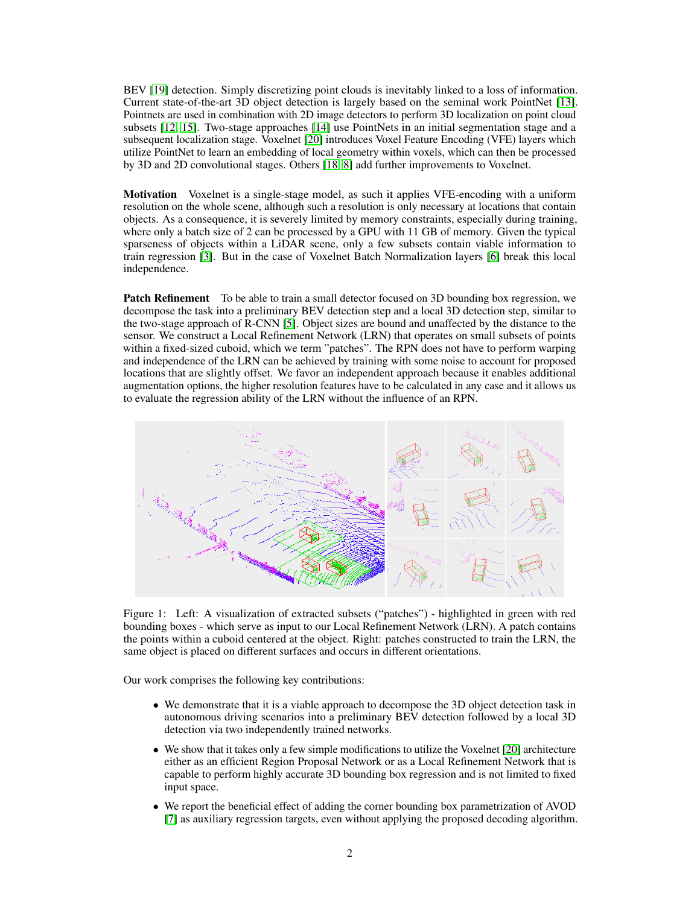BEV [\[19\]](#page-9-2) detection. Simply discretizing point clouds is inevitably linked to a loss of information. Current state-of-the-art 3D object detection is largely based on the seminal work PointNet [\[13\]](#page-8-4). Pointnets are used in combination with 2D image detectors to perform 3D localization on point cloud subsets [\[12,](#page-8-5) [15\]](#page-8-6). Two-stage approaches [\[14\]](#page-8-7) use PointNets in an initial segmentation stage and a subsequent localization stage. Voxelnet [\[20\]](#page-9-3) introduces Voxel Feature Encoding (VFE) layers which utilize PointNet to learn an embedding of local geometry within voxels, which can then be processed by 3D and 2D convolutional stages. Others [\[18,](#page-9-4) [8\]](#page-8-8) add further improvements to Voxelnet.

Motivation Voxelnet is a single-stage model, as such it applies VFE-encoding with a uniform resolution on the whole scene, although such a resolution is only necessary at locations that contain objects. As a consequence, it is severely limited by memory constraints, especially during training, where only a batch size of 2 can be processed by a GPU with 11 GB of memory. Given the typical sparseness of objects within a LiDAR scene, only a few subsets contain viable information to train regression [\[3\]](#page-8-9). But in the case of Voxelnet Batch Normalization layers [\[6\]](#page-8-10) break this local independence.

**Patch Refinement** To be able to train a small detector focused on 3D bounding box regression, we decompose the task into a preliminary BEV detection step and a local 3D detection step, similar to the two-stage approach of R-CNN [\[5\]](#page-8-11). Object sizes are bound and unaffected by the distance to the sensor. We construct a Local Refinement Network (LRN) that operates on small subsets of points within a fixed-sized cuboid, which we term "patches". The RPN does not have to perform warping and independence of the LRN can be achieved by training with some noise to account for proposed locations that are slightly offset. We favor an independent approach because it enables additional augmentation options, the higher resolution features have to be calculated in any case and it allows us to evaluate the regression ability of the LRN without the influence of an RPN.



Figure 1: Left: A visualization of extracted subsets ("patches") - highlighted in green with red bounding boxes - which serve as input to our Local Refinement Network (LRN). A patch contains the points within a cuboid centered at the object. Right: patches constructed to train the LRN, the same object is placed on different surfaces and occurs in different orientations.

Our work comprises the following key contributions:

- We demonstrate that it is a viable approach to decompose the 3D object detection task in autonomous driving scenarios into a preliminary BEV detection followed by a local 3D detection via two independently trained networks.
- We show that it takes only a few simple modifications to utilize the Voxelnet [\[20\]](#page-9-3) architecture either as an efficient Region Proposal Network or as a Local Refinement Network that is capable to perform highly accurate 3D bounding box regression and is not limited to fixed input space.
- We report the beneficial effect of adding the corner bounding box parametrization of AVOD [\[7\]](#page-8-3) as auxiliary regression targets, even without applying the proposed decoding algorithm.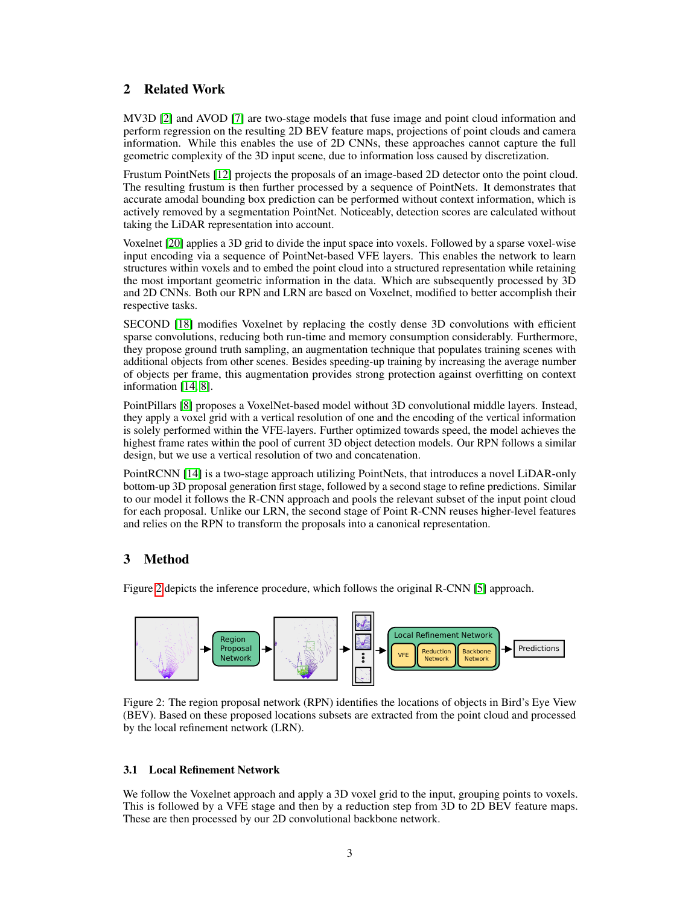# 2 Related Work

MV3D [\[2\]](#page-8-2) and AVOD [\[7\]](#page-8-3) are two-stage models that fuse image and point cloud information and perform regression on the resulting 2D BEV feature maps, projections of point clouds and camera information. While this enables the use of 2D CNNs, these approaches cannot capture the full geometric complexity of the 3D input scene, due to information loss caused by discretization.

Frustum PointNets [\[12\]](#page-8-5) projects the proposals of an image-based 2D detector onto the point cloud. The resulting frustum is then further processed by a sequence of PointNets. It demonstrates that accurate amodal bounding box prediction can be performed without context information, which is actively removed by a segmentation PointNet. Noticeably, detection scores are calculated without taking the LiDAR representation into account.

Voxelnet [\[20\]](#page-9-3) applies a 3D grid to divide the input space into voxels. Followed by a sparse voxel-wise input encoding via a sequence of PointNet-based VFE layers. This enables the network to learn structures within voxels and to embed the point cloud into a structured representation while retaining the most important geometric information in the data. Which are subsequently processed by 3D and 2D CNNs. Both our RPN and LRN are based on Voxelnet, modified to better accomplish their respective tasks.

SECOND [\[18\]](#page-9-4) modifies Voxelnet by replacing the costly dense 3D convolutions with efficient sparse convolutions, reducing both run-time and memory consumption considerably. Furthermore, they propose ground truth sampling, an augmentation technique that populates training scenes with additional objects from other scenes. Besides speeding-up training by increasing the average number of objects per frame, this augmentation provides strong protection against overfitting on context information [\[14,](#page-8-7) [8\]](#page-8-8).

PointPillars [\[8\]](#page-8-8) proposes a VoxelNet-based model without 3D convolutional middle layers. Instead, they apply a voxel grid with a vertical resolution of one and the encoding of the vertical information is solely performed within the VFE-layers. Further optimized towards speed, the model achieves the highest frame rates within the pool of current 3D object detection models. Our RPN follows a similar design, but we use a vertical resolution of two and concatenation.

PointRCNN [\[14\]](#page-8-7) is a two-stage approach utilizing PointNets, that introduces a novel LiDAR-only bottom-up 3D proposal generation first stage, followed by a second stage to refine predictions. Similar to our model it follows the R-CNN approach and pools the relevant subset of the input point cloud for each proposal. Unlike our LRN, the second stage of Point R-CNN reuses higher-level features and relies on the RPN to transform the proposals into a canonical representation.

# 3 Method

Figure [2](#page-2-0) depicts the inference procedure, which follows the original R-CNN [\[5\]](#page-8-11) approach.



<span id="page-2-0"></span>Figure 2: The region proposal network (RPN) identifies the locations of objects in Bird's Eye View (BEV). Based on these proposed locations subsets are extracted from the point cloud and processed by the local refinement network (LRN).

# 3.1 Local Refinement Network

We follow the Voxelnet approach and apply a 3D voxel grid to the input, grouping points to voxels. This is followed by a VFE stage and then by a reduction step from 3D to 2D BEV feature maps. These are then processed by our 2D convolutional backbone network.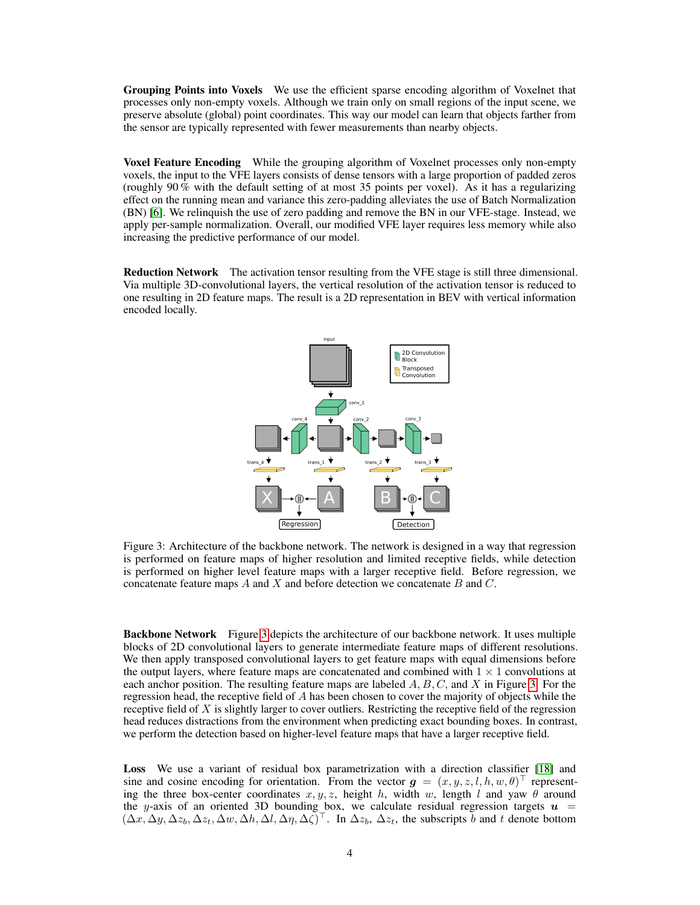Grouping Points into Voxels We use the efficient sparse encoding algorithm of Voxelnet that processes only non-empty voxels. Although we train only on small regions of the input scene, we preserve absolute (global) point coordinates. This way our model can learn that objects farther from the sensor are typically represented with fewer measurements than nearby objects.

Voxel Feature Encoding While the grouping algorithm of Voxelnet processes only non-empty voxels, the input to the VFE layers consists of dense tensors with a large proportion of padded zeros (roughly 90  $\%$  with the default setting of at most 35 points per voxel). As it has a regularizing effect on the running mean and variance this zero-padding alleviates the use of Batch Normalization (BN) [\[6\]](#page-8-10). We relinquish the use of zero padding and remove the BN in our VFE-stage. Instead, we apply per-sample normalization. Overall, our modified VFE layer requires less memory while also increasing the predictive performance of our model.

Reduction Network The activation tensor resulting from the VFE stage is still three dimensional. Via multiple 3D-convolutional layers, the vertical resolution of the activation tensor is reduced to one resulting in 2D feature maps. The result is a 2D representation in BEV with vertical information encoded locally.



<span id="page-3-0"></span>Figure 3: Architecture of the backbone network. The network is designed in a way that regression is performed on feature maps of higher resolution and limited receptive fields, while detection is performed on higher level feature maps with a larger receptive field. Before regression, we concatenate feature maps  $A$  and  $X$  and before detection we concatenate  $B$  and  $C$ .

Backbone Network Figure [3](#page-3-0) depicts the architecture of our backbone network. It uses multiple blocks of 2D convolutional layers to generate intermediate feature maps of different resolutions. We then apply transposed convolutional layers to get feature maps with equal dimensions before the output layers, where feature maps are concatenated and combined with  $1 \times 1$  convolutions at each anchor position. The resulting feature maps are labeled  $A, B, C$ , and X in Figure [3.](#page-3-0) For the regression head, the receptive field of A has been chosen to cover the majority of objects while the receptive field of  $X$  is slightly larger to cover outliers. Restricting the receptive field of the regression head reduces distractions from the environment when predicting exact bounding boxes. In contrast, we perform the detection based on higher-level feature maps that have a larger receptive field.

Loss We use a variant of residual box parametrization with a direction classifier [\[18\]](#page-9-4) and sine and cosine encoding for orientation. From the vector  $g = (x, y, z, l, h, w, \theta)^\top$  representing the three box-center coordinates  $x, y, z$ , height h, width w, length l and yaw  $\theta$  around the y-axis of an oriented 3D bounding box, we calculate residual regression targets  $u =$  $(\Delta x, \Delta y, \Delta z_b, \Delta z_t, \Delta w, \Delta h, \Delta l, \Delta \eta, \Delta \zeta)^\top$ . In  $\Delta z_b$ ,  $\Delta z_t$ , the subscripts b and t denote bottom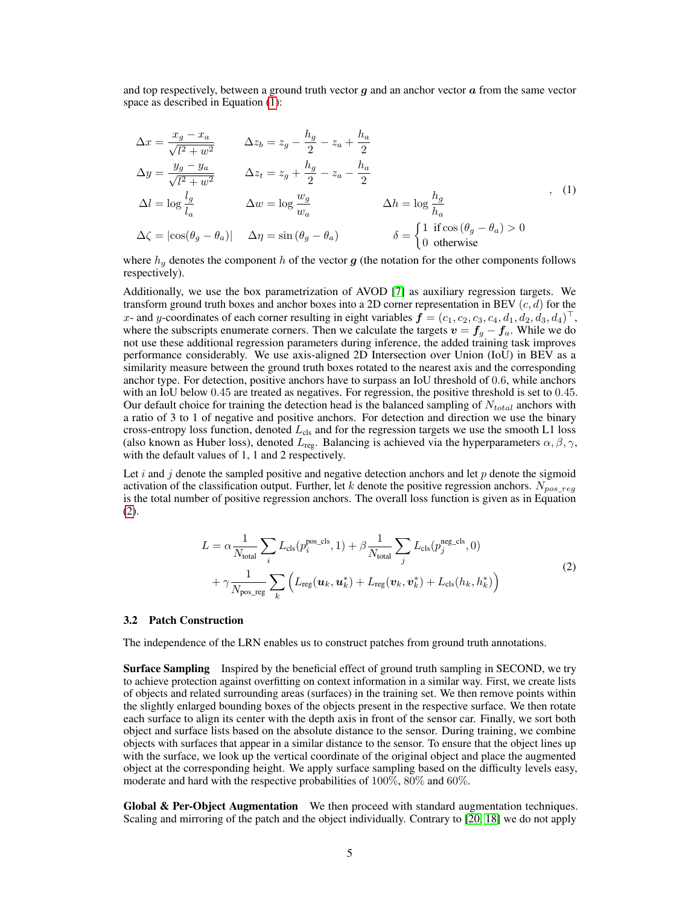<span id="page-4-0"></span>and top respectively, between a ground truth vector  $q$  and an anchor vector  $\alpha$  from the same vector space as described in Equation [\(1\)](#page-4-0):

$$
\Delta x = \frac{x_g - x_a}{\sqrt{l^2 + w^2}} \qquad \Delta z_b = z_g - \frac{h_g}{2} - z_a + \frac{h_a}{2}
$$
  
\n
$$
\Delta y = \frac{y_g - y_a}{\sqrt{l^2 + w^2}} \qquad \Delta z_t = z_g + \frac{h_g}{2} - z_a - \frac{h_a}{2}
$$
  
\n
$$
\Delta l = \log \frac{l_g}{l_a} \qquad \Delta w = \log \frac{w_g}{w_a} \qquad \Delta h = \log \frac{h_g}{h_a}
$$
  
\n
$$
\Delta \zeta = |\cos(\theta_g - \theta_a)| \qquad \Delta \eta = \sin(\theta_g - \theta_a) \qquad \delta = \begin{cases} 1 & \text{if } \cos(\theta_g - \theta_a) > 0 \\ 0 & \text{otherwise} \end{cases}, \qquad (1)
$$

where  $h_q$  denotes the component h of the vector g (the notation for the other components follows respectively).

Additionally, we use the box parametrization of AVOD [\[7\]](#page-8-3) as auxiliary regression targets. We transform ground truth boxes and anchor boxes into a 2D corner representation in BEV  $(c, d)$  for the x- and y-coordinates of each corner resulting in eight variables  $\bm{f} = (c_1, c_2, c_3, c_4, d_1, d_2, d_3, d_4)^\top$ , where the subscripts enumerate corners. Then we calculate the targets  $v = f_g - f_a$ . While we do not use these additional regression parameters during inference, the added training task improves performance considerably. We use axis-aligned 2D Intersection over Union (IoU) in BEV as a similarity measure between the ground truth boxes rotated to the nearest axis and the corresponding anchor type. For detection, positive anchors have to surpass an IoU threshold of 0.6, while anchors with an IoU below 0.45 are treated as negatives. For regression, the positive threshold is set to 0.45. Our default choice for training the detection head is the balanced sampling of  $N_{total}$  anchors with a ratio of 3 to 1 of negative and positive anchors. For detection and direction we use the binary cross-entropy loss function, denoted  $L_{cls}$  and for the regression targets we use the smooth L1 loss (also known as Huber loss), denoted  $L_{\text{reg}}$ . Balancing is achieved via the hyperparameters  $\alpha, \beta, \gamma$ , with the default values of 1, 1 and 2 respectively.

<span id="page-4-1"></span>Let i and j denote the sampled positive and negative detection anchors and let  $p$  denote the sigmoid activation of the classification output. Further, let k denote the positive regression anchors.  $N_{pos\,req}$ is the total number of positive regression anchors. The overall loss function is given as in Equation [\(2\)](#page-4-1).

$$
L = \alpha \frac{1}{N_{\text{total}}} \sum_{i} L_{\text{cls}}(p_i^{\text{pos\_cls}}, 1) + \beta \frac{1}{N_{\text{total}}} \sum_{j} L_{\text{cls}}(p_j^{\text{neg\_cls}}, 0)
$$
  
+  $\gamma \frac{1}{N_{\text{pos\_reg}}} \sum_{k} \left( L_{\text{reg}}(\boldsymbol{u}_k, \boldsymbol{u}_k^*) + L_{\text{reg}}(\boldsymbol{v}_k, \boldsymbol{v}_k^*) + L_{\text{cls}}(h_k, h_k^*) \right)$  (2)

#### 3.2 Patch Construction

The independence of the LRN enables us to construct patches from ground truth annotations.

**Surface Sampling** Inspired by the beneficial effect of ground truth sampling in SECOND, we try to achieve protection against overfitting on context information in a similar way. First, we create lists of objects and related surrounding areas (surfaces) in the training set. We then remove points within the slightly enlarged bounding boxes of the objects present in the respective surface. We then rotate each surface to align its center with the depth axis in front of the sensor car. Finally, we sort both object and surface lists based on the absolute distance to the sensor. During training, we combine objects with surfaces that appear in a similar distance to the sensor. To ensure that the object lines up with the surface, we look up the vertical coordinate of the original object and place the augmented object at the corresponding height. We apply surface sampling based on the difficulty levels easy, moderate and hard with the respective probabilities of  $100\%$ ,  $80\%$  and  $60\%$ .

Global & Per-Object Augmentation We then proceed with standard augmentation techniques. Scaling and mirroring of the patch and the object individually. Contrary to [\[20,](#page-9-3) [18\]](#page-9-4) we do not apply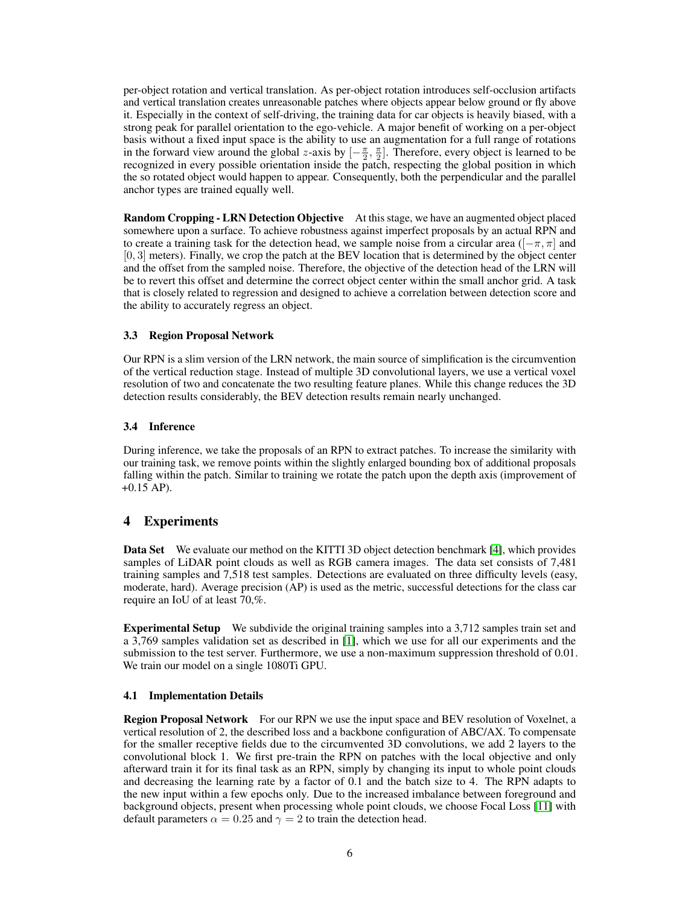per-object rotation and vertical translation. As per-object rotation introduces self-occlusion artifacts and vertical translation creates unreasonable patches where objects appear below ground or fly above it. Especially in the context of self-driving, the training data for car objects is heavily biased, with a strong peak for parallel orientation to the ego-vehicle. A major benefit of working on a per-object basis without a fixed input space is the ability to use an augmentation for a full range of rotations in the forward view around the global z-axis by  $[-\frac{\pi}{2}, \frac{\pi}{2}]$ . Therefore, every object is learned to be recognized in every possible orientation inside the patch, respecting the global position in which the so rotated object would happen to appear. Consequently, both the perpendicular and the parallel anchor types are trained equally well.

Random Cropping - LRN Detection Objective At this stage, we have an augmented object placed somewhere upon a surface. To achieve robustness against imperfect proposals by an actual RPN and to create a training task for the detection head, we sample noise from a circular area ( $[-\pi, \pi]$  and [0, 3] meters). Finally, we crop the patch at the BEV location that is determined by the object center and the offset from the sampled noise. Therefore, the objective of the detection head of the LRN will be to revert this offset and determine the correct object center within the small anchor grid. A task that is closely related to regression and designed to achieve a correlation between detection score and the ability to accurately regress an object.

#### 3.3 Region Proposal Network

Our RPN is a slim version of the LRN network, the main source of simplification is the circumvention of the vertical reduction stage. Instead of multiple 3D convolutional layers, we use a vertical voxel resolution of two and concatenate the two resulting feature planes. While this change reduces the 3D detection results considerably, the BEV detection results remain nearly unchanged.

#### 3.4 Inference

During inference, we take the proposals of an RPN to extract patches. To increase the similarity with our training task, we remove points within the slightly enlarged bounding box of additional proposals falling within the patch. Similar to training we rotate the patch upon the depth axis (improvement of  $+0.15$  AP).

# 4 Experiments

Data Set We evaluate our method on the KITTI 3D object detection benchmark [\[4\]](#page-8-0), which provides samples of LiDAR point clouds as well as RGB camera images. The data set consists of 7,481 training samples and 7,518 test samples. Detections are evaluated on three difficulty levels (easy, moderate, hard). Average precision (AP) is used as the metric, successful detections for the class car require an IoU of at least 70,%.

Experimental Setup We subdivide the original training samples into a 3,712 samples train set and a 3,769 samples validation set as described in [\[1\]](#page-8-12), which we use for all our experiments and the submission to the test server. Furthermore, we use a non-maximum suppression threshold of 0.01. We train our model on a single 1080Ti GPU.

#### 4.1 Implementation Details

Region Proposal Network For our RPN we use the input space and BEV resolution of Voxelnet, a vertical resolution of 2, the described loss and a backbone configuration of ABC/AX. To compensate for the smaller receptive fields due to the circumvented 3D convolutions, we add 2 layers to the convolutional block 1. We first pre-train the RPN on patches with the local objective and only afterward train it for its final task as an RPN, simply by changing its input to whole point clouds and decreasing the learning rate by a factor of 0.1 and the batch size to 4. The RPN adapts to the new input within a few epochs only. Due to the increased imbalance between foreground and background objects, present when processing whole point clouds, we choose Focal Loss [\[11\]](#page-8-13) with default parameters  $\alpha = 0.25$  and  $\gamma = 2$  to train the detection head.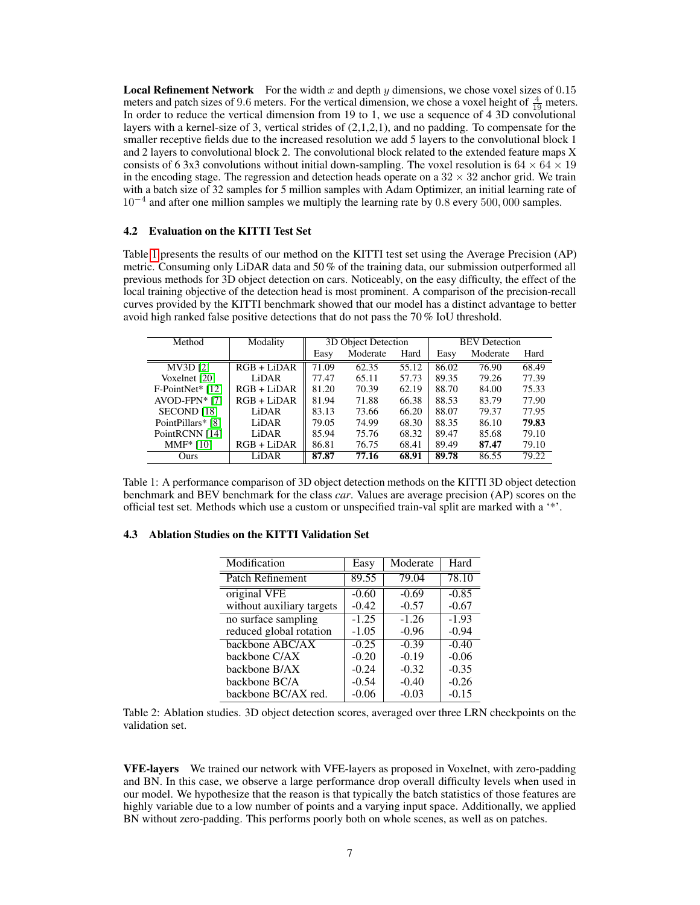**Local Refinement Network** For the width x and depth y dimensions, we chose voxel sizes of  $0.15$ meters and patch sizes of 9.6 meters. For the vertical dimension, we chose a voxel height of  $\frac{4}{19}$  meters. In order to reduce the vertical dimension from 19 to 1, we use a sequence of 4 3D convolutional layers with a kernel-size of 3, vertical strides of (2,1,2,1), and no padding. To compensate for the smaller receptive fields due to the increased resolution we add 5 layers to the convolutional block 1 and 2 layers to convolutional block 2. The convolutional block related to the extended feature maps X consists of 6 3x3 convolutions without initial down-sampling. The voxel resolution is  $64 \times 64 \times 19$ in the encoding stage. The regression and detection heads operate on a  $32 \times 32$  anchor grid. We train with a batch size of 32 samples for 5 million samples with Adam Optimizer, an initial learning rate of 10−<sup>4</sup> and after one million samples we multiply the learning rate by 0.8 every 500, 000 samples.

#### 4.2 Evaluation on the KITTI Test Set

Table [1](#page-6-0) presents the results of our method on the KITTI test set using the Average Precision (AP) metric. Consuming only LiDAR data and 50 % of the training data, our submission outperformed all previous methods for 3D object detection on cars. Noticeably, on the easy difficulty, the effect of the local training objective of the detection head is most prominent. A comparison of the precision-recall curves provided by the KITTI benchmark showed that our model has a distinct advantage to better avoid high ranked false positive detections that do not pass the 70 % IoU threshold.

| Method                    | Modality      | 3D Object Detection |          |       | <b>BEV</b> Detection |          |       |
|---------------------------|---------------|---------------------|----------|-------|----------------------|----------|-------|
|                           |               | Easy                | Moderate | Hard  | Easy                 | Moderate | Hard  |
| <b>MV3D</b> [2]           | $RGB + LiDAR$ | 71.09               | 62.35    | 55.12 | 86.02                | 76.90    | 68.49 |
| Voxelnet [20]             | LiDAR         | 77.47               | 65.11    | 57.73 | 89.35                | 79.26    | 77.39 |
| $F\text{-PointNet*}$ [12] | $RGB + LiDAR$ | 81.20               | 70.39    | 62.19 | 88.70                | 84.00    | 75.33 |
| $AVOD-FPN* [7]$           | $RGB + LiDAR$ | 81.94               | 71.88    | 66.38 | 88.53                | 83.79    | 77.90 |
| SECOND <sup>[18]</sup>    | LiDAR         | 83.13               | 73.66    | 66.20 | 88.07                | 79.37    | 77.95 |
| PointPillars* [8]         | LiDAR         | 79.05               | 74.99    | 68.30 | 88.35                | 86.10    | 79.83 |
| PointRCNN [14]            | LiDAR         | 85.94               | 75.76    | 68.32 | 89.47                | 85.68    | 79.10 |
| $MMF* [10]$               | $RGB + LiDAR$ | 86.81               | 76.75    | 68.41 | 89.49                | 87.47    | 79.10 |
| <b>Ours</b>               | LiDAR         | 87.87               | 77.16    | 68.91 | 89.78                | 86.55    | 79.22 |

<span id="page-6-0"></span>Table 1: A performance comparison of 3D object detection methods on the KITTI 3D object detection benchmark and BEV benchmark for the class *car*. Values are average precision (AP) scores on the official test set. Methods which use a custom or unspecified train-val split are marked with a '\*'.

| Modification              | Easy    | Moderate | Hard               |
|---------------------------|---------|----------|--------------------|
| Patch Refinement          | 89.55   | 79.04    | 78.10              |
| original VFE              | $-0.60$ | $-0.69$  | $-0.85$            |
| without auxiliary targets | $-0.42$ | $-0.57$  | $-0.67$            |
| no surface sampling       | $-1.25$ | $-1.26$  | $-1.\overline{93}$ |
| reduced global rotation   | $-1.05$ | $-0.96$  | $-0.94$            |
| backbone ABC/AX           | $-0.25$ | $-0.39$  | $-0.40$            |
| backbone C/AX             | $-0.20$ | $-0.19$  | $-0.06$            |
| backbone B/AX             | $-0.24$ | $-0.32$  | $-0.35$            |
| backbone BC/A             | $-0.54$ | $-0.40$  | $-0.26$            |
| backbone BC/AX red.       | $-0.06$ | $-0.03$  | $-0.15$            |
|                           |         |          |                    |

### 4.3 Ablation Studies on the KITTI Validation Set

<span id="page-6-1"></span>Table 2: Ablation studies. 3D object detection scores, averaged over three LRN checkpoints on the validation set.

VFE-layers We trained our network with VFE-layers as proposed in Voxelnet, with zero-padding and BN. In this case, we observe a large performance drop overall difficulty levels when used in our model. We hypothesize that the reason is that typically the batch statistics of those features are highly variable due to a low number of points and a varying input space. Additionally, we applied BN without zero-padding. This performs poorly both on whole scenes, as well as on patches.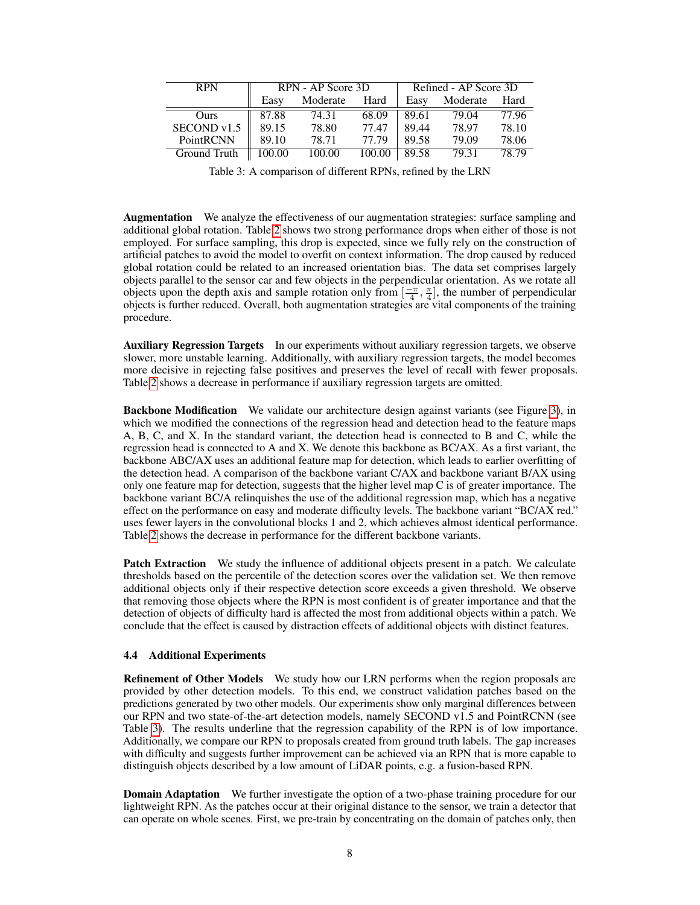| <b>RPN</b>   | RPN - AP Score 3D |          |        | Refined - AP Score 3D |          |       |  |
|--------------|-------------------|----------|--------|-----------------------|----------|-------|--|
|              | Easy              | Moderate | Hard   | Easy                  | Moderate | Hard  |  |
| Ours         | 87.88             | 74.31    | 68.09  | 89.61                 | 79.04    | 77.96 |  |
| SECOND v1.5  | 89.15             | 78.80    | 77.47  | 89.44                 | 78.97    | 78.10 |  |
| PointRCNN    | 89.10             | 78.71    | 77.79  | 89.58                 | 79.09    | 78.06 |  |
| Ground Truth | 100.00            | 100.00   | 100.00 | 89.58                 | 79.31    | 78.79 |  |

<span id="page-7-0"></span>Table 3: A comparison of different RPNs, refined by the LRN

Augmentation We analyze the effectiveness of our augmentation strategies: surface sampling and additional global rotation. Table [2](#page-6-1) shows two strong performance drops when either of those is not employed. For surface sampling, this drop is expected, since we fully rely on the construction of artificial patches to avoid the model to overfit on context information. The drop caused by reduced global rotation could be related to an increased orientation bias. The data set comprises largely objects parallel to the sensor car and few objects in the perpendicular orientation. As we rotate all objects upon the depth axis and sample rotation only from  $\left[\frac{-\pi}{4}, \frac{\pi}{4}\right]$ , the number of perpendicular objects is further reduced. Overall, both augmentation strategies are vital components of the training procedure.

Auxiliary Regression Targets In our experiments without auxiliary regression targets, we observe slower, more unstable learning. Additionally, with auxiliary regression targets, the model becomes more decisive in rejecting false positives and preserves the level of recall with fewer proposals. Table [2](#page-6-1) shows a decrease in performance if auxiliary regression targets are omitted.

Backbone Modification We validate our architecture design against variants (see Figure [3\)](#page-3-0), in which we modified the connections of the regression head and detection head to the feature maps A, B, C, and X. In the standard variant, the detection head is connected to B and C, while the regression head is connected to A and X. We denote this backbone as BC/AX. As a first variant, the backbone ABC/AX uses an additional feature map for detection, which leads to earlier overfitting of the detection head. A comparison of the backbone variant C/AX and backbone variant B/AX using only one feature map for detection, suggests that the higher level map C is of greater importance. The backbone variant BC/A relinquishes the use of the additional regression map, which has a negative effect on the performance on easy and moderate difficulty levels. The backbone variant "BC/AX red." uses fewer layers in the convolutional blocks 1 and 2, which achieves almost identical performance. Table [2](#page-6-1) shows the decrease in performance for the different backbone variants.

**Patch Extraction** We study the influence of additional objects present in a patch. We calculate thresholds based on the percentile of the detection scores over the validation set. We then remove additional objects only if their respective detection score exceeds a given threshold. We observe that removing those objects where the RPN is most confident is of greater importance and that the detection of objects of difficulty hard is affected the most from additional objects within a patch. We conclude that the effect is caused by distraction effects of additional objects with distinct features.

#### 4.4 Additional Experiments

Refinement of Other Models We study how our LRN performs when the region proposals are provided by other detection models. To this end, we construct validation patches based on the predictions generated by two other models. Our experiments show only marginal differences between our RPN and two state-of-the-art detection models, namely SECOND v1.5 and PointRCNN (see Table [3\)](#page-7-0). The results underline that the regression capability of the RPN is of low importance. Additionally, we compare our RPN to proposals created from ground truth labels. The gap increases with difficulty and suggests further improvement can be achieved via an RPN that is more capable to distinguish objects described by a low amount of LiDAR points, e.g. a fusion-based RPN.

**Domain Adaptation** We further investigate the option of a two-phase training procedure for our lightweight RPN. As the patches occur at their original distance to the sensor, we train a detector that can operate on whole scenes. First, we pre-train by concentrating on the domain of patches only, then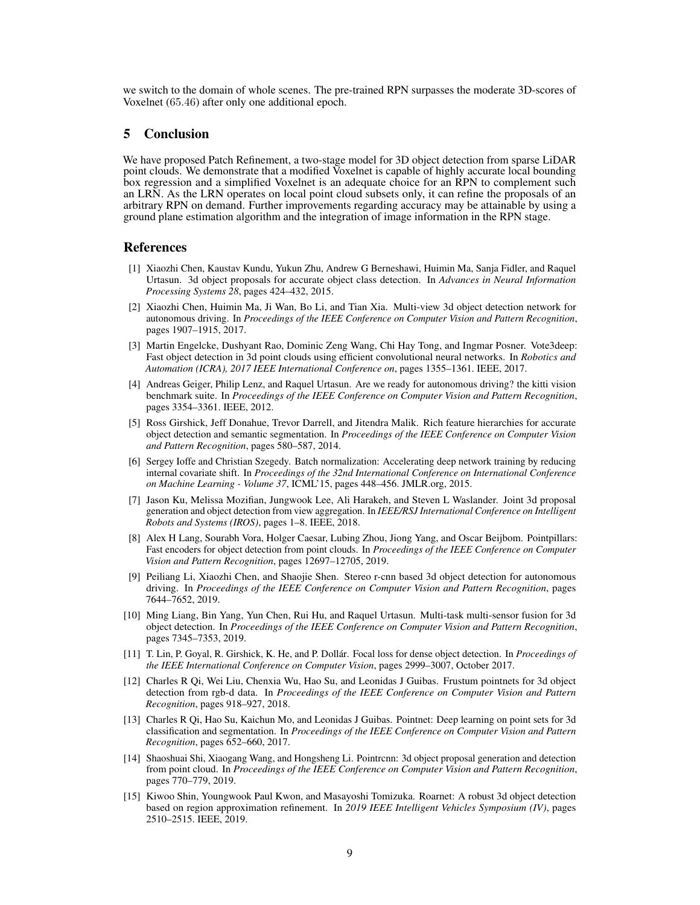we switch to the domain of whole scenes. The pre-trained RPN surpasses the moderate 3D-scores of Voxelnet (65.46) after only one additional epoch.

#### 5 Conclusion

We have proposed Patch Refinement, a two-stage model for 3D object detection from sparse LiDAR point clouds. We demonstrate that a modified Voxelnet is capable of highly accurate local bounding box regression and a simplified Voxelnet is an adequate choice for an RPN to complement such an LRN. As the LRN operates on local point cloud subsets only, it can refine the proposals of an arbitrary RPN on demand. Further improvements regarding accuracy may be attainable by using a ground plane estimation algorithm and the integration of image information in the RPN stage.

## References

- <span id="page-8-12"></span>[1] Xiaozhi Chen, Kaustav Kundu, Yukun Zhu, Andrew G Berneshawi, Huimin Ma, Sanja Fidler, and Raquel Urtasun. 3d object proposals for accurate object class detection. In *Advances in Neural Information Processing Systems 28*, pages 424–432, 2015.
- <span id="page-8-2"></span>[2] Xiaozhi Chen, Huimin Ma, Ji Wan, Bo Li, and Tian Xia. Multi-view 3d object detection network for autonomous driving. In *Proceedings of the IEEE Conference on Computer Vision and Pattern Recognition*, pages 1907–1915, 2017.
- <span id="page-8-9"></span>[3] Martin Engelcke, Dushyant Rao, Dominic Zeng Wang, Chi Hay Tong, and Ingmar Posner. Vote3deep: Fast object detection in 3d point clouds using efficient convolutional neural networks. In *Robotics and Automation (ICRA), 2017 IEEE International Conference on*, pages 1355–1361. IEEE, 2017.
- <span id="page-8-0"></span>[4] Andreas Geiger, Philip Lenz, and Raquel Urtasun. Are we ready for autonomous driving? the kitti vision benchmark suite. In *Proceedings of the IEEE Conference on Computer Vision and Pattern Recognition*, pages 3354–3361. IEEE, 2012.
- <span id="page-8-11"></span>[5] Ross Girshick, Jeff Donahue, Trevor Darrell, and Jitendra Malik. Rich feature hierarchies for accurate object detection and semantic segmentation. In *Proceedings of the IEEE Conference on Computer Vision and Pattern Recognition*, pages 580–587, 2014.
- <span id="page-8-10"></span>[6] Sergey Ioffe and Christian Szegedy. Batch normalization: Accelerating deep network training by reducing internal covariate shift. In *Proceedings of the 32nd International Conference on International Conference on Machine Learning - Volume 37*, ICML'15, pages 448–456. JMLR.org, 2015.
- <span id="page-8-3"></span>[7] Jason Ku, Melissa Mozifian, Jungwook Lee, Ali Harakeh, and Steven L Waslander. Joint 3d proposal generation and object detection from view aggregation. In *IEEE/RSJ International Conference on Intelligent Robots and Systems (IROS)*, pages 1–8. IEEE, 2018.
- <span id="page-8-8"></span>[8] Alex H Lang, Sourabh Vora, Holger Caesar, Lubing Zhou, Jiong Yang, and Oscar Beijbom. Pointpillars: Fast encoders for object detection from point clouds. In *Proceedings of the IEEE Conference on Computer Vision and Pattern Recognition*, pages 12697–12705, 2019.
- <span id="page-8-1"></span>[9] Peiliang Li, Xiaozhi Chen, and Shaojie Shen. Stereo r-cnn based 3d object detection for autonomous driving. In *Proceedings of the IEEE Conference on Computer Vision and Pattern Recognition*, pages 7644–7652, 2019.
- <span id="page-8-14"></span>[10] Ming Liang, Bin Yang, Yun Chen, Rui Hu, and Raquel Urtasun. Multi-task multi-sensor fusion for 3d object detection. In *Proceedings of the IEEE Conference on Computer Vision and Pattern Recognition*, pages 7345–7353, 2019.
- <span id="page-8-13"></span>[11] T. Lin, P. Goyal, R. Girshick, K. He, and P. Dollár. Focal loss for dense object detection. In *Proceedings of the IEEE International Conference on Computer Vision*, pages 2999–3007, October 2017.
- <span id="page-8-5"></span>[12] Charles R Qi, Wei Liu, Chenxia Wu, Hao Su, and Leonidas J Guibas. Frustum pointnets for 3d object detection from rgb-d data. In *Proceedings of the IEEE Conference on Computer Vision and Pattern Recognition*, pages 918–927, 2018.
- <span id="page-8-4"></span>[13] Charles R Qi, Hao Su, Kaichun Mo, and Leonidas J Guibas. Pointnet: Deep learning on point sets for 3d classification and segmentation. In *Proceedings of the IEEE Conference on Computer Vision and Pattern Recognition*, pages 652–660, 2017.
- <span id="page-8-7"></span>[14] Shaoshuai Shi, Xiaogang Wang, and Hongsheng Li. Pointrcnn: 3d object proposal generation and detection from point cloud. In *Proceedings of the IEEE Conference on Computer Vision and Pattern Recognition*, pages 770–779, 2019.
- <span id="page-8-6"></span>[15] Kiwoo Shin, Youngwook Paul Kwon, and Masayoshi Tomizuka. Roarnet: A robust 3d object detection based on region approximation refinement. In *2019 IEEE Intelligent Vehicles Symposium (IV)*, pages 2510–2515. IEEE, 2019.